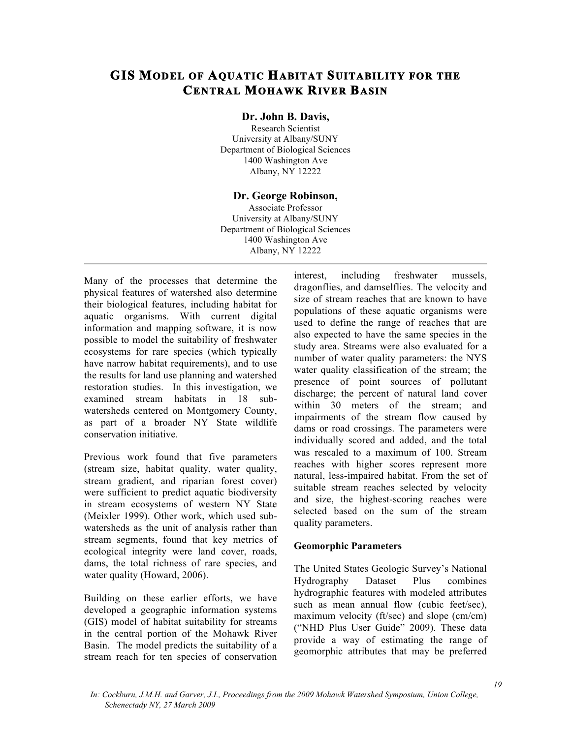# **GIS MODEL OF AQUATIC HABITAT SUITABILITY FOR THE CENTRAL MOHAWK RIVER BASIN**

### **Dr. John B. Davis,**

Research Scientist University at Albany/SUNY Department of Biological Sciences 1400 Washington Ave Albany, NY 12222

#### **Dr. George Robinson,**

Associate Professor University at Albany/SUNY Department of Biological Sciences 1400 Washington Ave Albany, NY 12222

Many of the processes that determine the physical features of watershed also determine their biological features, including habitat for aquatic organisms. With current digital information and mapping software, it is now possible to model the suitability of freshwater ecosystems for rare species (which typically have narrow habitat requirements), and to use the results for land use planning and watershed restoration studies. In this investigation, we examined stream habitats in 18 subwatersheds centered on Montgomery County, as part of a broader NY State wildlife conservation initiative.

Previous work found that five parameters (stream size, habitat quality, water quality, stream gradient, and riparian forest cover) were sufficient to predict aquatic biodiversity in stream ecosystems of western NY State (Meixler 1999). Other work, which used subwatersheds as the unit of analysis rather than stream segments, found that key metrics of ecological integrity were land cover, roads, dams, the total richness of rare species, and water quality (Howard, 2006).

Building on these earlier efforts, we have developed a geographic information systems (GIS) model of habitat suitability for streams in the central portion of the Mohawk River Basin. The model predicts the suitability of a stream reach for ten species of conservation

interest, including freshwater mussels, dragonflies, and damselflies. The velocity and size of stream reaches that are known to have populations of these aquatic organisms were used to define the range of reaches that are also expected to have the same species in the study area. Streams were also evaluated for a number of water quality parameters: the NYS water quality classification of the stream; the presence of point sources of pollutant discharge; the percent of natural land cover within 30 meters of the stream; and impairments of the stream flow caused by dams or road crossings. The parameters were individually scored and added, and the total was rescaled to a maximum of 100. Stream reaches with higher scores represent more natural, less-impaired habitat. From the set of suitable stream reaches selected by velocity and size, the highest-scoring reaches were selected based on the sum of the stream quality parameters.

#### **Geomorphic Parameters**

The United States Geologic Survey's National Hydrography Dataset Plus combines hydrographic features with modeled attributes such as mean annual flow (cubic feet/sec), maximum velocity (ft/sec) and slope (cm/cm) ("NHD Plus User Guide" 2009). These data provide a way of estimating the range of geomorphic attributes that may be preferred

*In: Cockburn, J.M.H. and Garver, J.I., Proceedings from the 2009 Mohawk Watershed Symposium, Union College, Schenectady NY, 27 March 2009*